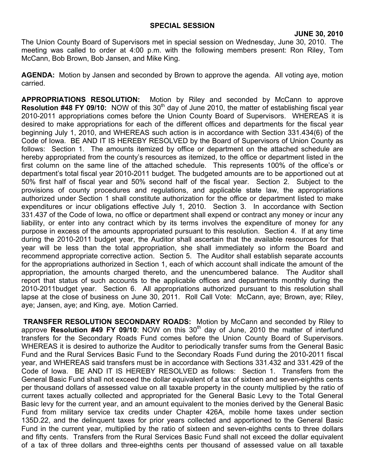The Union County Board of Supervisors met in special session on Wednesday, June 30, 2010. The meeting was called to order at 4:00 p.m. with the following members present: Ron Riley, Tom McCann, Bob Brown, Bob Jansen, and Mike King.

**AGENDA:** Motion by Jansen and seconded by Brown to approve the agenda. All voting aye, motion carried.

**APPROPRIATIONS RESOLUTION:** Motion by Riley and seconded by McCann to approve **Resolution #48 FY 09/10:** NOW of this 30<sup>th</sup> day of June 2010, the matter of establishing fiscal year 2010-2011 appropriations comes before the Union County Board of Supervisors. WHEREAS it is desired to make appropriations for each of the different offices and departments for the fiscal year beginning July 1, 2010, and WHEREAS such action is in accordance with Section 331.434(6) of the Code of Iowa. BE AND IT IS HEREBY RESOLVED by the Board of Supervisors of Union County as follows: Section 1. The amounts itemized by office or department on the attached schedule are hereby appropriated from the county's resources as itemized, to the office or department listed in the first column on the same line of the attached schedule. This represents 100% of the office's or department's total fiscal year 2010-2011 budget. The budgeted amounts are to be apportioned out at 50% first half of fiscal year and 50% second half of the fiscal year. Section 2. Subject to the provisions of county procedures and regulations, and applicable state law, the appropriations authorized under Section 1 shall constitute authorization for the office or department listed to make expenditures or incur obligations effective July 1, 2010. Section 3. In accordance with Section 331.437 of the Code of Iowa, no office or department shall expend or contract any money or incur any liability, or enter into any contract which by its terms involves the expenditure of money for any purpose in excess of the amounts appropriated pursuant to this resolution. Section 4. If at any time during the 2010-2011 budget year, the Auditor shall ascertain that the available resources for that year will be less than the total appropriation, she shall immediately so inform the Board and recommend appropriate corrective action. Section 5. The Auditor shall establish separate accounts for the appropriations authorized in Section 1, each of which account shall indicate the amount of the appropriation, the amounts charged thereto, and the unencumbered balance. The Auditor shall report that status of such accounts to the applicable offices and departments monthly during the 2010-2011budget year. Section 6. All appropriations authorized pursuant to this resolution shall lapse at the close of business on June 30, 2011. Roll Call Vote: McCann, aye; Brown, aye; Riley, aye; Jansen, aye; and King, aye. Motion Carried.

**TRANSFER RESOLUTION SECONDARY ROADS:** Motion by McCann and seconded by Riley to approve Resolution #49 FY 09/10: NOW on this 30<sup>th</sup> day of June, 2010 the matter of interfund transfers for the Secondary Roads Fund comes before the Union County Board of Supervisors. WHEREAS it is desired to authorize the Auditor to periodically transfer sums from the General Basic Fund and the Rural Services Basic Fund to the Secondary Roads Fund during the 2010-2011 fiscal year, and WHEREAS said transfers must be in accordance with Sections 331.432 and 331.429 of the Code of Iowa. BE AND IT IS HEREBY RESOLVED as follows: Section 1. Transfers from the General Basic Fund shall not exceed the dollar equivalent of a tax of sixteen and seven-eighths cents per thousand dollars of assessed value on all taxable property in the county multiplied by the ratio of current taxes actually collected and appropriated for the General Basic Levy to the Total General Basic levy for the current year, and an amount equivalent to the monies derived by the General Basic Fund from military service tax credits under Chapter 426A, mobile home taxes under section 135D.22, and the delinquent taxes for prior years collected and apportioned to the General Basic Fund in the current year, multiplied by the ratio of sixteen and seven-eighths cents to three dollars and fifty cents. Transfers from the Rural Services Basic Fund shall not exceed the dollar equivalent of a tax of three dollars and three-eighths cents per thousand of assessed value on all taxable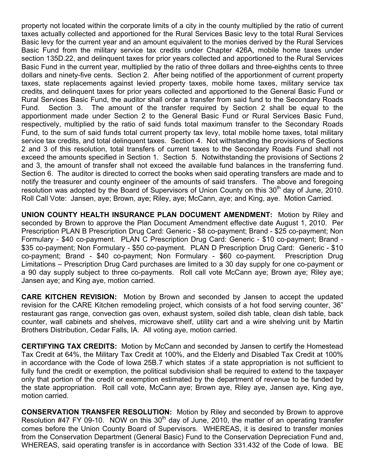property not located within the corporate limits of a city in the county multiplied by the ratio of current taxes actually collected and apportioned for the Rural Services Basic levy to the total Rural Services Basic levy for the current year and an amount equivalent to the monies derived by the Rural Services Basic Fund from the military service tax credits under Chapter 426A, mobile home taxes under section 135D.22, and delinquent taxes for prior years collected and apportioned to the Rural Services Basic Fund in the current year, multiplied by the ratio of three dollars and three-eighths cents to three dollars and ninety-five cents. Section 2. After being notified of the apportionment of current property taxes, state replacements against levied property taxes, mobile home taxes, military service tax credits, and delinquent taxes for prior years collected and apportioned to the General Basic Fund or Rural Services Basic Fund, the auditor shall order a transfer from said fund to the Secondary Roads Fund. Section 3. The amount of the transfer required by Section 2 shall be equal to the apportionment made under Section 2 to the General Basic Fund or Rural Services Basic Fund, respectively, multiplied by the ratio of said funds total maximum transfer to the Secondary Roads Fund, to the sum of said funds total current property tax levy, total mobile home taxes, total military service tax credits, and total delinquent taxes. Section 4. Not withstanding the provisions of Sections 2 and 3 of this resolution, total transfers of current taxes to the Secondary Roads Fund shall not exceed the amounts specified in Section 1. Section 5. Notwithstanding the provisions of Sections 2 and 3, the amount of transfer shall not exceed the available fund balances in the transferring fund. Section 6. The auditor is directed to correct the books when said operating transfers are made and to notify the treasurer and county engineer of the amounts of said transfers. The above and foregoing resolution was adopted by the Board of Supervisors of Union County on this 30<sup>th</sup> day of June, 2010. Roll Call Vote: Jansen, aye; Brown, aye; Riley, aye; McCann, aye; and King, aye. Motion Carried.

**UNION COUNTY HEALTH INSURANCE PLAN DOCUMENT AMENDMENT:** Motion by Riley and seconded by Brown to approve the Plan Document Amendment effective date August 1, 2010. Per Prescription PLAN B Prescription Drug Card: Generic - \$8 co-payment; Brand - \$25 co-payment; Non Formulary - \$40 co-payment. PLAN C Prescription Drug Card: Generic - \$10 co-payment; Brand - \$35 co-payment; Non Formulary - \$50 co-payment. PLAN D Prescription Drug Card: Generic - \$10 co-payment; Brand - \$40 co-payment; Non Formulary - \$60 co-payment. Prescription Drug Limitations – Prescription Drug Card purchases are limited to a 30 day supply for one co-payment or a 90 day supply subject to three co-payments. Roll call vote McCann aye; Brown aye; Riley aye; Jansen aye; and King aye, motion carried.

**CARE KITCHEN REVISION:** Motion by Brown and seconded by Jansen to accept the updated revision for the CARE Kitchen remodeling project, which consists of a hot food serving counter, 36" restaurant gas range, convection gas oven, exhaust system, soiled dish table, clean dish table, back counter, wall cabinets and shelves, microwave shelf, utility cart and a wire shelving unit by Martin Brothers Distribution, Cedar Falls, IA. All voting aye, motion carried.

**CERTIFYING TAX CREDITS:** Motion by McCann and seconded by Jansen to certify the Homestead Tax Credit at 64%, the Military Tax Credit at 100%, and the Elderly and Disabled Tax Credit at 100% in accordance with the Code of Iowa 25B.7 which states :if a state appropriation is not sufficient to fully fund the credit or exemption, the political subdivision shall be required to extend to the taxpayer only that portion of the credit or exemption estimated by the department of revenue to be funded by the state appropriation. Roll call vote, McCann aye; Brown aye, Riley aye, Jansen aye, King aye, motion carried.

**CONSERVATION TRANSFER RESOLUTION:** Motion by Riley and seconded by Brown to approve Resolution  $#47$  FY 09-10. NOW on this  $30<sup>th</sup>$  day of June, 2010, the matter of an operating transfer comes before the Union County Board of Supervisors. WHEREAS, it is desired to transfer monies from the Conservation Department (General Basic) Fund to the Conservation Depreciation Fund and, WHEREAS, said operating transfer is in accordance with Section 331.432 of the Code of Iowa. BE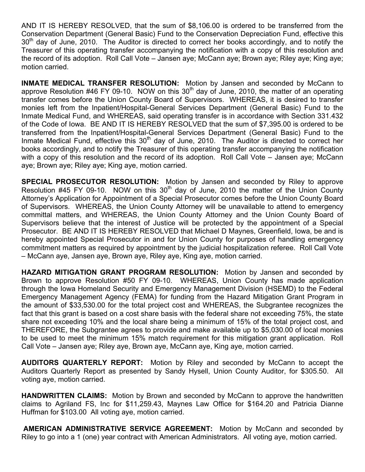AND IT IS HEREBY RESOLVED, that the sum of \$8,106.00 is ordered to be transferred from the Conservation Department (General Basic) Fund to the Conservation Depreciation Fund, effective this  $30<sup>th</sup>$  day of June, 2010. The Auditor is directed to correct her books accordingly, and to notify the Treasurer of this operating transfer accompanying the notification with a copy of this resolution and the record of its adoption. Roll Call Vote – Jansen aye; McCann aye; Brown aye; Riley aye; King aye; motion carried.

**INMATE MEDICAL TRANSFER RESOLUTION:** Motion by Jansen and seconded by McCann to approve Resolution #46 FY 09-10. NOW on this  $30<sup>th</sup>$  day of June, 2010, the matter of an operating transfer comes before the Union County Board of Supervisors. WHEREAS, it is desired to transfer monies left from the Inpatient/Hospital-General Services Department (General Basic) Fund to the Inmate Medical Fund, and WHEREAS, said operating transfer is in accordance with Section 331.432 of the Code of Iowa. BE AND IT IS HEREBY RESOLVED that the sum of \$7,395.00 is ordered to be transferred from the Inpatient/Hospital-General Services Department (General Basic) Fund to the Inmate Medical Fund, effective this  $30<sup>th</sup>$  day of June, 2010. The Auditor is directed to correct her books accordingly, and to notify the Treasurer of this operating transfer accompanying the notification with a copy of this resolution and the record of its adoption. Roll Call Vote – Jansen aye; McCann aye; Brown aye; Riley aye; King aye, motion carried.

**SPECIAL PROSECUTOR RESOLUTION:** Motion by Jansen and seconded by Riley to approve Resolution  $\#45$  FY 09-10. NOW on this 30<sup>th</sup> day of June, 2010 the matter of the Union County Attorney's Application for Appointment of a Special Prosecutor comes before the Union County Board of Supervisors. WHEREAS, the Union County Attorney will be unavailable to attend to emergency committal matters, and WHEREAS, the Union County Attorney and the Union County Board of Supervisors believe that the interest of Justice will be protected by the appointment of a Special Prosecutor. BE AND IT IS HEREBY RESOLVED that Michael D Maynes, Greenfield, Iowa, be and is hereby appointed Special Prosecutor in and for Union County for purposes of handling emergency commitment matters as required by appointment by the judicial hospitalization referee. Roll Call Vote – McCann aye, Jansen aye, Brown aye, Riley aye, King aye, motion carried.

**HAZARD MITIGATION GRANT PROGRAM RESOLUTION:** Motion by Jansen and seconded by Brown to approve Resolution #50 FY 09-10. WHEREAS, Union County has made application through the Iowa Homeland Security and Emergency Management Division (HSEMD) to the Federal Emergency Management Agency (FEMA) for funding from the Hazard Mitigation Grant Program in the amount of \$33,530.00 for the total project cost and WHEREAS, the Subgrantee recognizes the fact that this grant is based on a cost share basis with the federal share not exceeding 75%, the state share not exceeding 10% and the local share being a minimum of 15% of the total project cost, and THEREFORE, the Subgrantee agrees to provide and make available up to \$5,030.00 of local monies to be used to meet the minimum 15% match requirement for this mitigation grant application. Roll Call Vote – Jansen aye; Riley aye, Brown aye, McCann aye, King aye, motion carried.

**AUDITORS QUARTERLY REPORT:** Motion by Riley and seconded by McCann to accept the Auditors Quarterly Report as presented by Sandy Hysell, Union County Auditor, for \$305.50. All voting aye, motion carried.

**HANDWRITTEN CLAIMS:** Motion by Brown and seconded by McCann to approve the handwritten claims to Agriland FS, Inc for \$11,259.43, Maynes Law Office for \$164.20 and Patricia Dianne Huffman for \$103.00 All voting aye, motion carried.

 **AMERICAN ADMINISTRATIVE SERVICE AGREEMENT:** Motion by McCann and seconded by Riley to go into a 1 (one) year contract with American Administrators. All voting aye, motion carried.